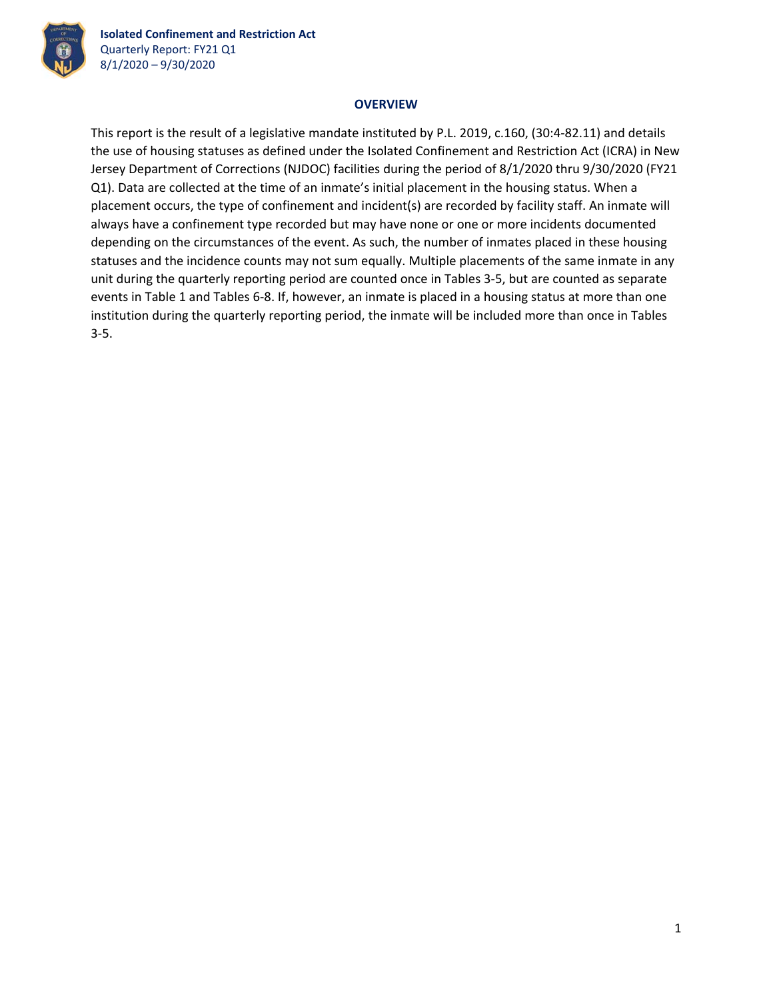

## **OVERVIEW**

This report is the result of a legislative mandate instituted by P.L. 2019, c.160, (30:4‐82.11) and details the use of housing statuses as defined under the Isolated Confinement and Restriction Act (ICRA) in New Jersey Department of Corrections (NJDOC) facilities during the period of 8/1/2020 thru 9/30/2020 (FY21 Q1). Data are collected at the time of an inmate's initial placement in the housing status. When a placement occurs, the type of confinement and incident(s) are recorded by facility staff. An inmate will always have a confinement type recorded but may have none or one or more incidents documented depending on the circumstances of the event. As such, the number of inmates placed in these housing statuses and the incidence counts may not sum equally. Multiple placements of the same inmate in any unit during the quarterly reporting period are counted once in Tables 3‐5, but are counted as separate events in Table 1 and Tables 6‐8. If, however, an inmate is placed in a housing status at more than one institution during the quarterly reporting period, the inmate will be included more than once in Tables 3‐5.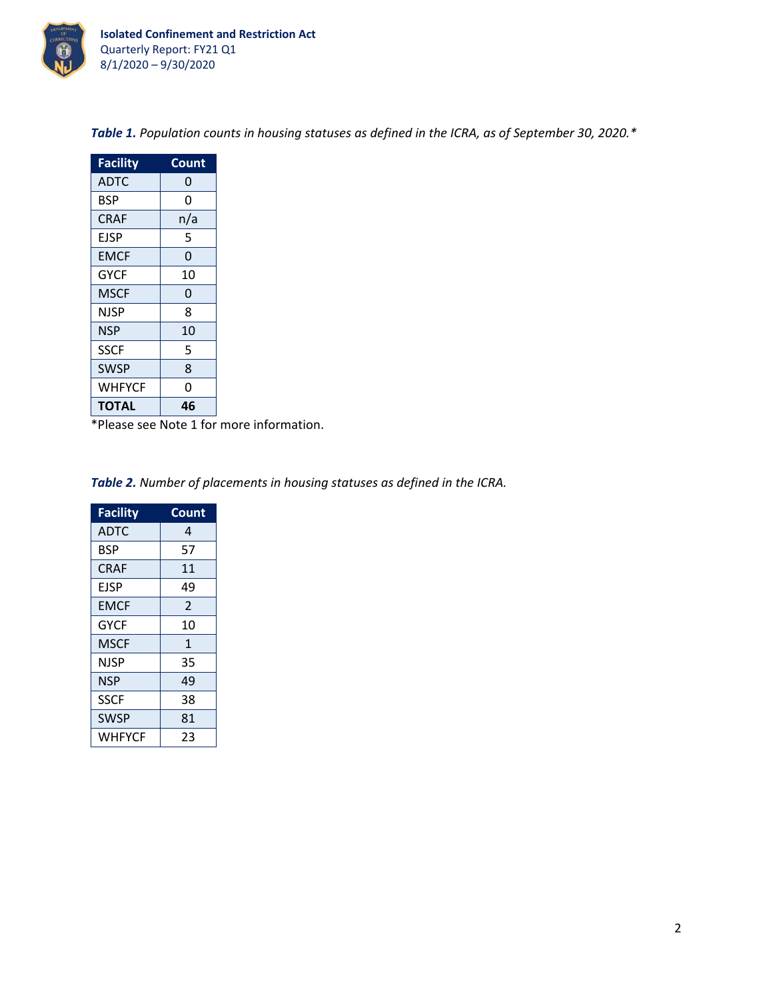

| <b>Facility</b> | Count |
|-----------------|-------|
| ADTC            | 0     |
| <b>BSP</b>      | 0     |
| <b>CRAF</b>     | n/a   |
| EJSP            | 5     |
| EMCF            | 0     |
| <b>GYCF</b>     | 10    |
| MSCF            | 0     |
| NJSP            | 8     |
| NSP             | 10    |
| <b>SSCF</b>     | 5     |
| <b>SWSP</b>     | 8     |
| WHFYCF          | 0     |
| TOTAL           | 46    |

*Table 1. Population counts in housing statuses as defined in the ICRA, as of September 30, 2020.\**

\*Please see Note 1 for more information.

*Table 2. Number of placements in housing statuses as defined in the ICRA.*

| <b>Facility</b> | Count          |
|-----------------|----------------|
| <b>ADTC</b>     | 4              |
| <b>BSP</b>      | 57             |
| <b>CRAF</b>     | 11             |
| EJSP            | 49             |
| <b>EMCF</b>     | $\overline{2}$ |
| <b>GYCF</b>     | 10             |
| MSCF            | $\mathbf{1}$   |
| NJSP            | 35             |
| <b>NSP</b>      | 49             |
| <b>SSCF</b>     | 38             |
| <b>SWSP</b>     | 81             |
| WHFYCF          | 23             |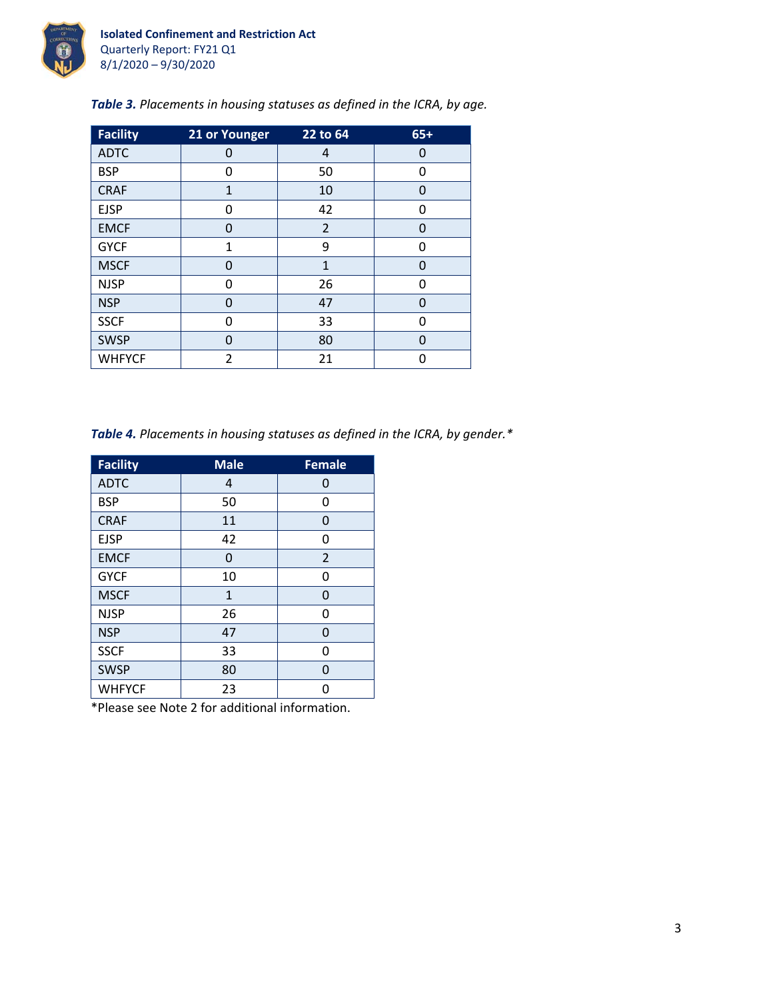

| Table 3. Placements in housing statuses as defined in the ICRA, by age. |  |  |  |
|-------------------------------------------------------------------------|--|--|--|
|                                                                         |  |  |  |

| <b>Facility</b> | 21 or Younger | $22$ to 64     | $65+$ |
|-----------------|---------------|----------------|-------|
| <b>ADTC</b>     | 0             | 4              | 0     |
| <b>BSP</b>      | 0             | 50             | 0     |
| <b>CRAF</b>     | $\mathbf{1}$  | 10             | 0     |
| <b>EJSP</b>     | 0             | 42             | 0     |
| <b>EMCF</b>     | 0             | $\overline{2}$ | 0     |
| <b>GYCF</b>     | $\mathbf{1}$  | 9              | 0     |
| <b>MSCF</b>     | 0             | $\mathbf{1}$   | 0     |
| <b>NJSP</b>     | O             | 26             | 0     |
| <b>NSP</b>      | 0             | 47             | 0     |
| <b>SSCF</b>     | 0             | 33             | 0     |
| <b>SWSP</b>     | 0             | 80             | 0     |
| <b>WHFYCF</b>   | 2             | 21             | ŋ     |

*Table 4. Placements in housing statuses as defined in the ICRA, by gender.\**

| <b>Facility</b> | <b>Male</b>  | <b>Female</b>  |
|-----------------|--------------|----------------|
| <b>ADTC</b>     | 4            | 0              |
| <b>BSP</b>      | 50           | 0              |
| <b>CRAF</b>     | 11           | 0              |
| <b>EJSP</b>     | 42           | 0              |
| <b>EMCF</b>     | 0            | $\overline{2}$ |
| <b>GYCF</b>     | 10           | 0              |
| <b>MSCF</b>     | $\mathbf{1}$ | 0              |
| <b>NJSP</b>     | 26           | 0              |
| <b>NSP</b>      | 47           | 0              |
| <b>SSCF</b>     | 33           | 0              |
| <b>SWSP</b>     | 80           | 0              |
| <b>WHFYCF</b>   | 23           | n              |

\*Please see Note 2 for additional information.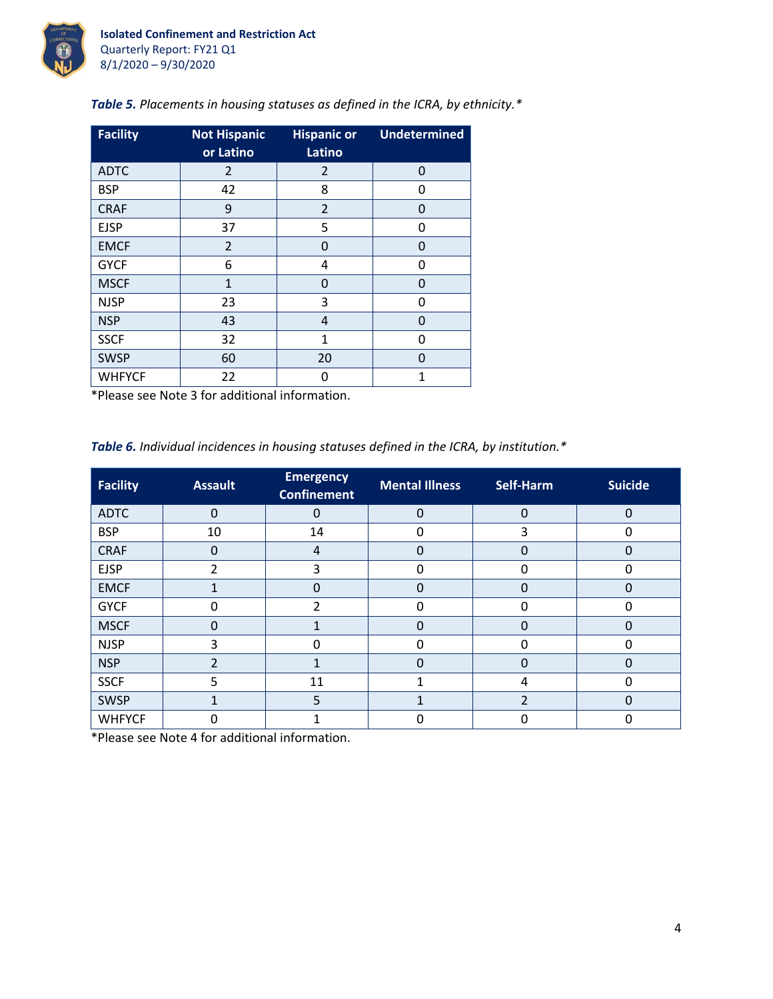

| <b>Facility</b> | <b>Not Hispanic</b><br>or Latino | <b>Hispanic or</b><br>Latino | <b>Undetermined</b> |
|-----------------|----------------------------------|------------------------------|---------------------|
| <b>ADTC</b>     | 2                                | 2                            | $\Omega$            |
| <b>BSP</b>      | 42                               | 8                            | 0                   |
| <b>CRAF</b>     | 9                                | $\overline{2}$               | 0                   |
| <b>EJSP</b>     | 37                               | 5                            | 0                   |
| <b>EMCF</b>     | 2                                | $\Omega$                     | 0                   |
| <b>GYCF</b>     | 6                                | 4                            | 0                   |
| <b>MSCF</b>     | $\mathbf{1}$                     | 0                            | O                   |
| <b>NJSP</b>     | 23                               | 3                            | 0                   |
| <b>NSP</b>      | 43                               | 4                            | 0                   |
| <b>SSCF</b>     | 32                               | 1                            | ŋ                   |
| <b>SWSP</b>     | 60                               | 20                           | O                   |
| <b>WHFYCF</b>   | 22                               | 0                            | 1                   |

*Table 5. Placements in housing statuses as defined in the ICRA, by ethnicity.\**

\*Please see Note 3 for additional information.

*Table 6. Individual incidences in housing statuses defined in the ICRA, by institution.\**

| <b>Facility</b> | <b>Assault</b> | <b>Emergency</b><br><b>Confinement</b> | <b>Mental Illness</b> | Self-Harm     | <b>Suicide</b> |
|-----------------|----------------|----------------------------------------|-----------------------|---------------|----------------|
| <b>ADTC</b>     | $\Omega$       | $\Omega$                               | $\mathbf 0$           | $\Omega$      | 0              |
| <b>BSP</b>      | 10             | 14                                     | 0                     | 3             | 0              |
| <b>CRAF</b>     | 0              | $\overline{4}$                         | $\Omega$              |               | 0              |
| <b>EJSP</b>     | C              | 3                                      | U                     |               |                |
| <b>EMCF</b>     |                | $\Omega$                               | $\Omega$              | $\Omega$      | 0              |
| <b>GYCF</b>     | 0              | 2                                      | $\Omega$              |               | 0              |
| <b>MSCF</b>     | ი              | 1                                      | 0                     |               | 0              |
| <b>NJSP</b>     | 3              | 0                                      | 0                     | O             | 0              |
| <b>NSP</b>      | າ              | 1                                      | $\Omega$              | O             | 0              |
| <b>SSCF</b>     | 5              | 11                                     |                       | 4             |                |
| <b>SWSP</b>     |                | 5                                      |                       | $\mathcal{P}$ | 0              |
| <b>WHFYCF</b>   | ი              |                                        | 0                     |               |                |

\*Please see Note 4 for additional information.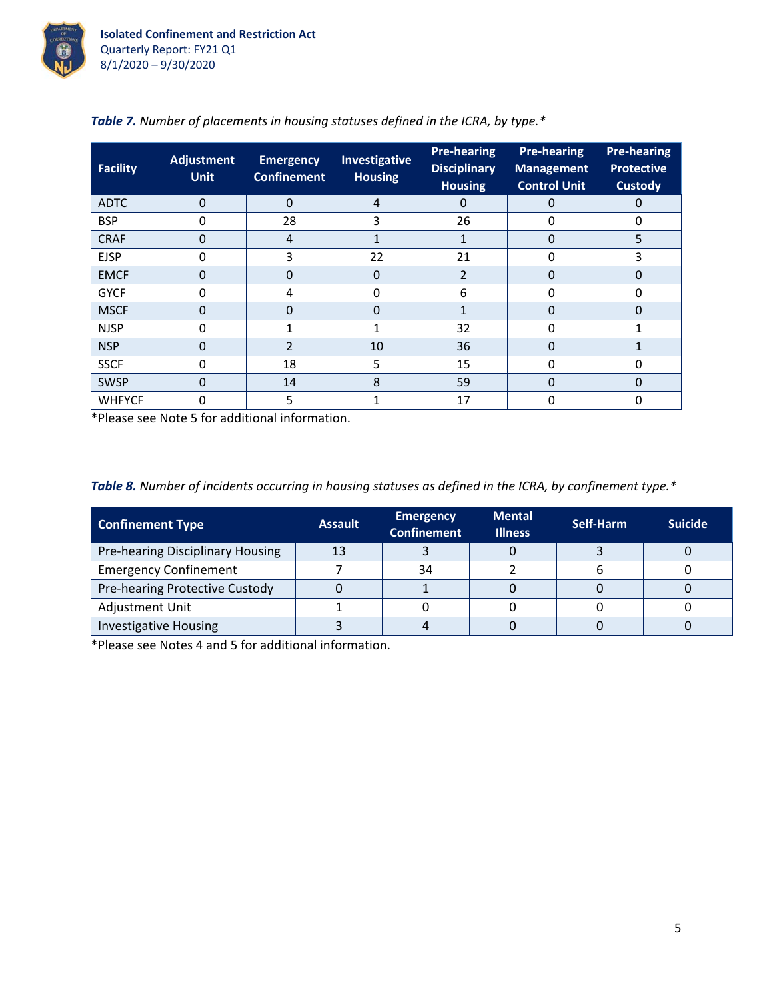

| <b>Facility</b> | <b>Adjustment</b><br><b>Unit</b> | <b>Emergency</b><br><b>Confinement</b> | Investigative<br><b>Housing</b> | <b>Pre-hearing</b><br><b>Disciplinary</b><br><b>Housing</b> | <b>Pre-hearing</b><br><b>Management</b><br><b>Control Unit</b> | <b>Pre-hearing</b><br><b>Protective</b><br><b>Custody</b> |
|-----------------|----------------------------------|----------------------------------------|---------------------------------|-------------------------------------------------------------|----------------------------------------------------------------|-----------------------------------------------------------|
| <b>ADTC</b>     | $\Omega$                         | $\Omega$                               | $\overline{4}$                  | 0                                                           | 0                                                              | 0                                                         |
| <b>BSP</b>      | 0                                | 28                                     | 3                               | 26                                                          | 0                                                              | 0                                                         |
| <b>CRAF</b>     | $\Omega$                         | $\overline{4}$                         |                                 |                                                             | $\overline{0}$                                                 | 5                                                         |
| <b>EJSP</b>     | $\Omega$                         | 3                                      | 22                              | 21                                                          | 0                                                              | 3                                                         |
| <b>EMCF</b>     | 0                                | 0                                      | $\Omega$                        | 2                                                           | $\Omega$                                                       | 0                                                         |
| <b>GYCF</b>     | 0                                | 4                                      | 0                               | 6                                                           | 0                                                              | O                                                         |
| <b>MSCF</b>     | 0                                | 0                                      | $\Omega$                        |                                                             | 0                                                              | 0                                                         |
| <b>NJSP</b>     | 0                                |                                        | 1                               | 32                                                          | 0                                                              |                                                           |
| <b>NSP</b>      | $\Omega$                         | $\mathcal{P}$                          | 10                              | 36                                                          | $\Omega$                                                       |                                                           |
| <b>SSCF</b>     | 0                                | 18                                     | 5                               | 15                                                          | 0                                                              | O                                                         |
| <b>SWSP</b>     | 0                                | 14                                     | 8                               | 59                                                          | $\Omega$                                                       | $\Omega$                                                  |
| <b>WHFYCF</b>   | 0                                | 5                                      |                                 | 17                                                          | 0                                                              | ი                                                         |

\*Please see Note 5 for additional information.

*Table 8. Number of incidents occurring in housing statuses as defined in the ICRA, by confinement type.\**

| <b>Confinement Type</b>          | <b>Assault</b> | <b>Emergency</b><br><b>Confinement</b> | <b>Mental</b><br><b>Illness</b> | Self-Harm | <b>Suicide</b> |
|----------------------------------|----------------|----------------------------------------|---------------------------------|-----------|----------------|
| Pre-hearing Disciplinary Housing | 13             |                                        |                                 |           |                |
| <b>Emergency Confinement</b>     |                | 34                                     |                                 |           |                |
| Pre-hearing Protective Custody   |                |                                        |                                 |           |                |
| <b>Adjustment Unit</b>           |                |                                        |                                 |           |                |
| <b>Investigative Housing</b>     |                |                                        |                                 |           |                |

\*Please see Notes 4 and 5 for additional information.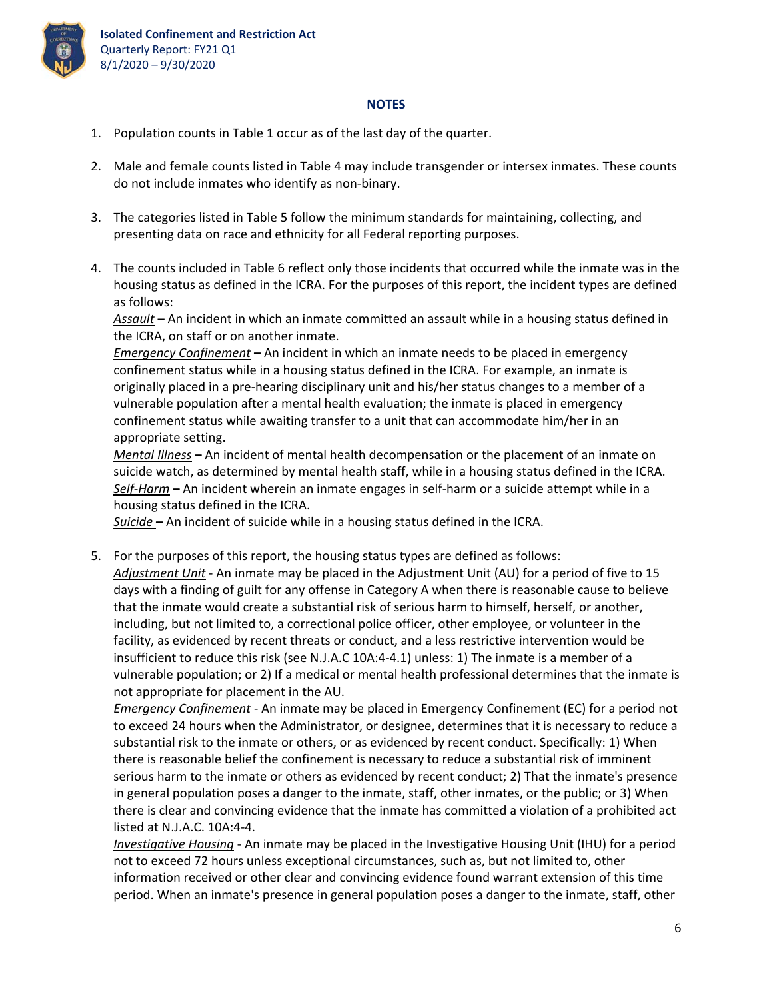

## **NOTES**

- 1. Population counts in Table 1 occur as of the last day of the quarter.
- 2. Male and female counts listed in Table 4 may include transgender or intersex inmates. These counts do not include inmates who identify as non‐binary.
- 3. The categories listed in Table 5 follow the minimum standards for maintaining, collecting, and presenting data on race and ethnicity for all Federal reporting purposes.
- 4. The counts included in Table 6 reflect only those incidents that occurred while the inmate was in the housing status as defined in the ICRA. For the purposes of this report, the incident types are defined as follows:

*Assault* – An incident in which an inmate committed an assault while in a housing status defined in the ICRA, on staff or on another inmate.

*Emergency Confinement* **–** An incident in which an inmate needs to be placed in emergency confinement status while in a housing status defined in the ICRA. For example, an inmate is originally placed in a pre‐hearing disciplinary unit and his/her status changes to a member of a vulnerable population after a mental health evaluation; the inmate is placed in emergency confinement status while awaiting transfer to a unit that can accommodate him/her in an appropriate setting.

*Mental Illness* **–** An incident of mental health decompensation or the placement of an inmate on suicide watch, as determined by mental health staff, while in a housing status defined in the ICRA. *Self‐Harm* **–** An incident wherein an inmate engages in self‐harm or a suicide attempt while in a housing status defined in the ICRA.

*Suicide* **–** An incident of suicide while in a housing status defined in the ICRA.

5. For the purposes of this report, the housing status types are defined as follows: *Adjustment Unit* ‐ An inmate may be placed in the Adjustment Unit (AU) for a period of five to 15 days with a finding of guilt for any offense in Category A when there is reasonable cause to believe that the inmate would create a substantial risk of serious harm to himself, herself, or another, including, but not limited to, a correctional police officer, other employee, or volunteer in the facility, as evidenced by recent threats or conduct, and a less restrictive intervention would be insufficient to reduce this risk (see N.J.A.C 10A:4‐4.1) unless: 1) The inmate is a member of a vulnerable population; or 2) If a medical or mental health professional determines that the inmate is not appropriate for placement in the AU.

*Emergency Confinement ‐* An inmate may be placed in Emergency Confinement (EC) for a period not to exceed 24 hours when the Administrator, or designee, determines that it is necessary to reduce a substantial risk to the inmate or others, or as evidenced by recent conduct. Specifically: 1) When there is reasonable belief the confinement is necessary to reduce a substantial risk of imminent serious harm to the inmate or others as evidenced by recent conduct; 2) That the inmate's presence in general population poses a danger to the inmate, staff, other inmates, or the public; or 3) When there is clear and convincing evidence that the inmate has committed a violation of a prohibited act listed at N.J.A.C. 10A:4‐4.

*Investigative Housing* ‐ An inmate may be placed in the Investigative Housing Unit (IHU) for a period not to exceed 72 hours unless exceptional circumstances, such as, but not limited to, other information received or other clear and convincing evidence found warrant extension of this time period. When an inmate's presence in general population poses a danger to the inmate, staff, other